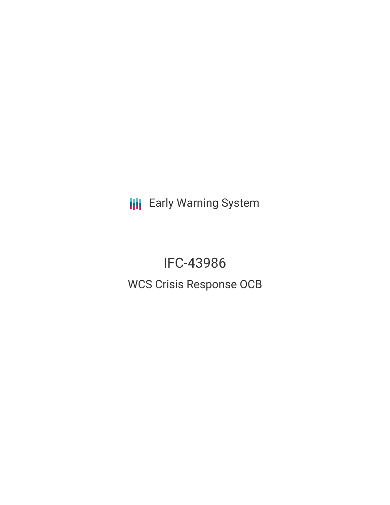**III** Early Warning System

IFC-43986 WCS Crisis Response OCB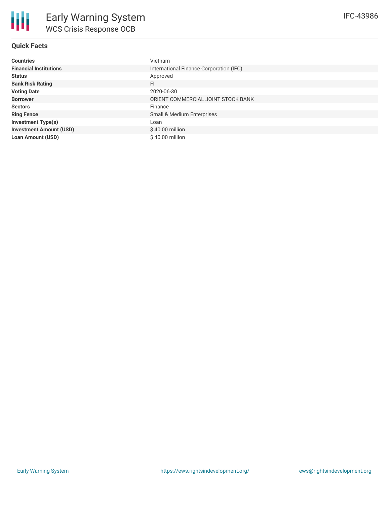

# **Quick Facts**

| <b>Countries</b>               | Vietnam                                 |
|--------------------------------|-----------------------------------------|
| <b>Financial Institutions</b>  | International Finance Corporation (IFC) |
| <b>Status</b>                  | Approved                                |
| <b>Bank Risk Rating</b>        | FI.                                     |
| <b>Voting Date</b>             | 2020-06-30                              |
| <b>Borrower</b>                | ORIENT COMMERCIAL JOINT STOCK BANK      |
| <b>Sectors</b>                 | Finance                                 |
| <b>Ring Fence</b>              | Small & Medium Enterprises              |
| <b>Investment Type(s)</b>      | Loan                                    |
| <b>Investment Amount (USD)</b> | $$40.00$ million                        |
| <b>Loan Amount (USD)</b>       | $$40.00$ million                        |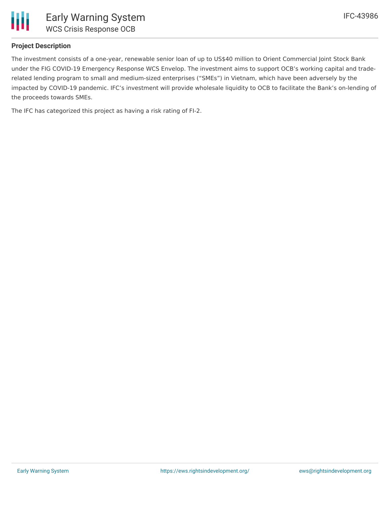

# **Project Description**

The investment consists of a one-year, renewable senior loan of up to US\$40 million to Orient Commercial Joint Stock Bank under the FIG COVID-19 Emergency Response WCS Envelop. The investment aims to support OCB's working capital and traderelated lending program to small and medium-sized enterprises ("SMEs") in Vietnam, which have been adversely by the impacted by COVID-19 pandemic. IFC's investment will provide wholesale liquidity to OCB to facilitate the Bank's on-lending of the proceeds towards SMEs.

The IFC has categorized this project as having a risk rating of FI-2.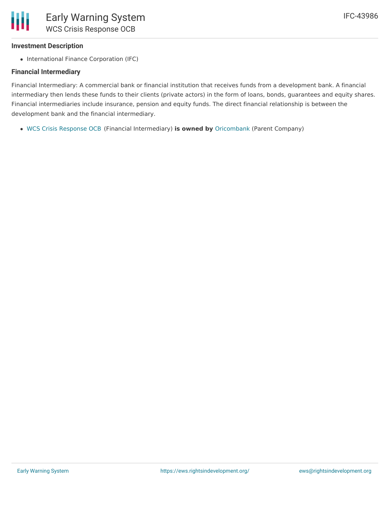# **Investment Description**

• International Finance Corporation (IFC)

# **Financial Intermediary**

Financial Intermediary: A commercial bank or financial institution that receives funds from a development bank. A financial intermediary then lends these funds to their clients (private actors) in the form of loans, bonds, guarantees and equity shares. Financial intermediaries include insurance, pension and equity funds. The direct financial relationship is between the development bank and the financial intermediary.

WCS Crisis [Response](file:///actor/4139/) OCB (Financial Intermediary) **is owned by** [Oricombank](file:///actor/4087/) (Parent Company)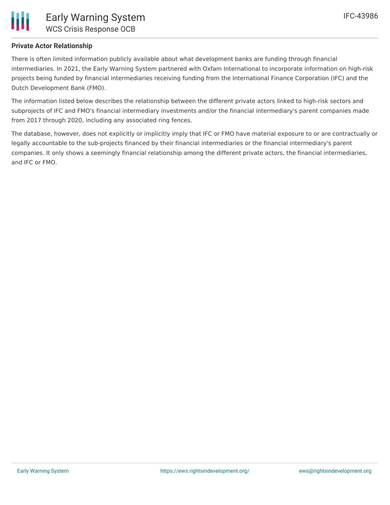

# **Private Actor Relationship**

There is often limited information publicly available about what development banks are funding through financial intermediaries. In 2021, the Early Warning System partnered with Oxfam International to incorporate information on high-risk projects being funded by financial intermediaries receiving funding from the International Finance Corporation (IFC) and the Dutch Development Bank (FMO).

The information listed below describes the relationship between the different private actors linked to high-risk sectors and subprojects of IFC and FMO's financial intermediary investments and/or the financial intermediary's parent companies made from 2017 through 2020, including any associated ring fences.

The database, however, does not explicitly or implicitly imply that IFC or FMO have material exposure to or are contractually or legally accountable to the sub-projects financed by their financial intermediaries or the financial intermediary's parent companies. It only shows a seemingly financial relationship among the different private actors, the financial intermediaries, and IFC or FMO.